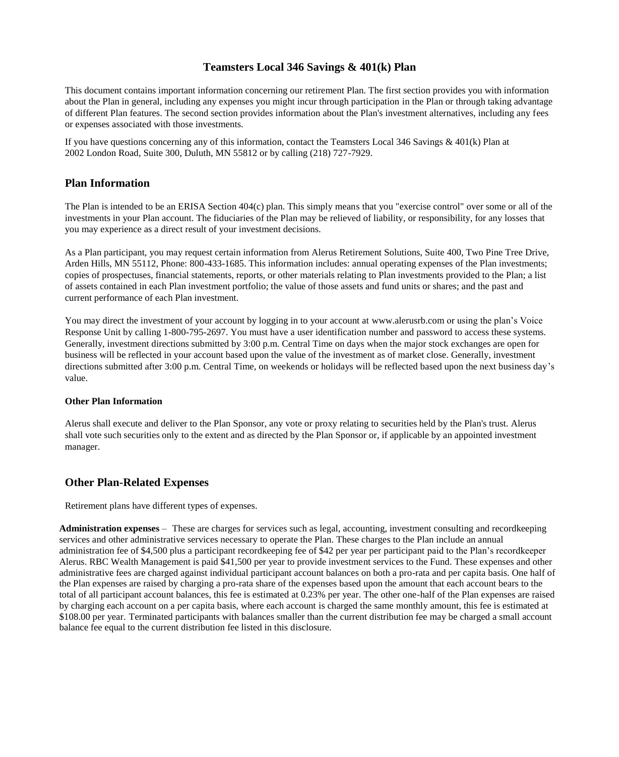## **Teamsters Local 346 Savings & 401(k) Plan**

This document contains important information concerning our retirement Plan. The first section provides you with information about the Plan in general, including any expenses you might incur through participation in the Plan or through taking advantage of different Plan features. The second section provides information about the Plan's investment alternatives, including any fees or expenses associated with those investments.

If you have questions concerning any of this information, contact the Teamsters Local 346 Savings & 401(k) Plan at 2002 London Road, Suite 300, Duluth, MN 55812 or by calling (218) 727-7929.

## **Plan Information**

The Plan is intended to be an ERISA Section 404(c) plan. This simply means that you "exercise control" over some or all of the investments in your Plan account. The fiduciaries of the Plan may be relieved of liability, or responsibility, for any losses that you may experience as a direct result of your investment decisions.

As a Plan participant, you may request certain information from Alerus Retirement Solutions, Suite 400, Two Pine Tree Drive, Arden Hills, MN 55112, Phone: 800-433-1685. This information includes: annual operating expenses of the Plan investments; copies of prospectuses, financial statements, reports, or other materials relating to Plan investments provided to the Plan; a list of assets contained in each Plan investment portfolio; the value of those assets and fund units or shares; and the past and current performance of each Plan investment.

You may direct the investment of your account by logging in to your account at [www.alerusrb.com](http://www.alerusrb.com/) or using the plan's Voice Response Unit by calling 1-800-795-2697. You must have a user identification number and password to access these systems. Generally, investment directions submitted by 3:00 p.m. Central Time on days when the major stock exchanges are open for business will be reflected in your account based upon the value of the investment as of market close. Generally, investment directions submitted after 3:00 p.m. Central Time, on weekends or holidays will be reflected based upon the next business day's value.

#### **Other Plan Information**

Alerus shall execute and deliver to the Plan Sponsor, any vote or proxy relating to securities held by the Plan's trust. Alerus shall vote such securities only to the extent and as directed by the Plan Sponsor or, if applicable by an appointed investment manager.

### **Other Plan-Related Expenses**

Retirement plans have different types of expenses.

**Administration expenses** – These are charges for services such as legal, accounting, investment consulting and recordkeeping services and other administrative services necessary to operate the Plan. These charges to the Plan include an annual administration fee of \$4,500 plus a participant recordkeeping fee of \$42 per year per participant paid to the Plan's recordkeeper Alerus. RBC Wealth Management is paid \$41,500 per year to provide investment services to the Fund. These expenses and other administrative fees are charged against individual participant account balances on both a pro-rata and per capita basis. One half of the Plan expenses are raised by charging a pro-rata share of the expenses based upon the amount that each account bears to the total of all participant account balances, this fee is estimated at 0.23% per year. The other one-half of the Plan expenses are raised by charging each account on a per capita basis, where each account is charged the same monthly amount, this fee is estimated at \$108.00 per year. Terminated participants with balances smaller than the current distribution fee may be charged a small account balance fee equal to the current distribution fee listed in this disclosure.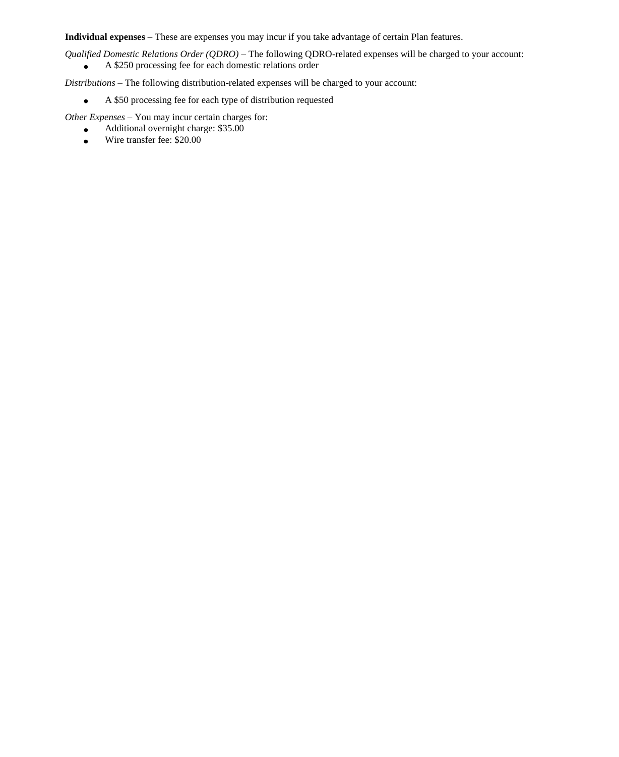**Individual expenses** – These are expenses you may incur if you take advantage of certain Plan features.

*Qualified Domestic Relations Order (QDRO) –* The following QDRO-related expenses will be charged to your account:

A \$250 processing fee for each domestic relations order  $\bullet$ 

*Distributions* – The following distribution-related expenses will be charged to your account:

A \$50 processing fee for each type of distribution requested  $\bullet$ 

*Other Expenses –* You may incur certain charges for:

- Additional overnight charge: \$35.00  $\bullet$
- Wire transfer fee: \$20.00 $\bullet$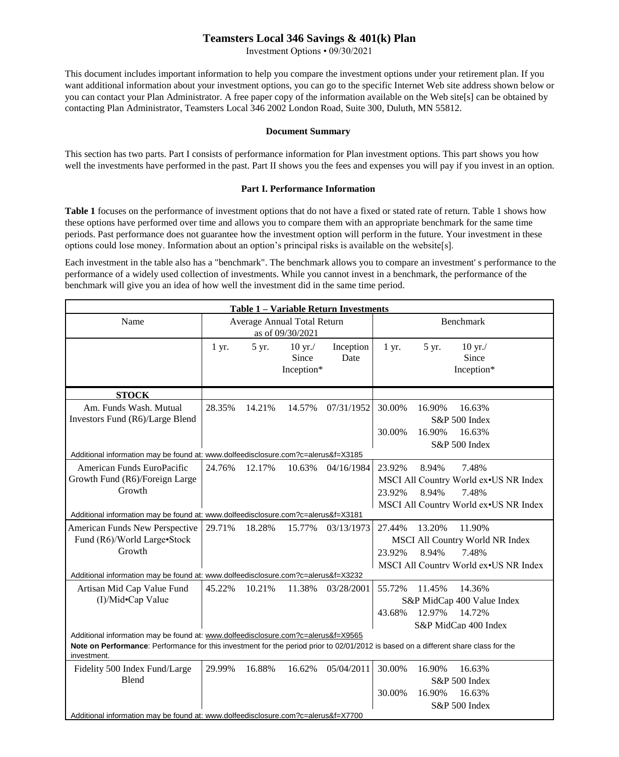# **Teamsters Local 346 Savings & 401(k) Plan**

Investment Options • 09/30/2021

This document includes important information to help you compare the investment options under your retirement plan. If you want additional information about your investment options, you can go to the specific Internet Web site address shown below or you can contact your Plan Administrator. A free paper copy of the information available on the Web site[s] can be obtained by contacting Plan Administrator, Teamsters Local 346 2002 London Road, Suite 300, Duluth, MN 55812.

#### **Document Summary**

This section has two parts. Part I consists of performance information for Plan investment options. This part shows you how well the investments have performed in the past. Part II shows you the fees and expenses you will pay if you invest in an option.

#### **Part I. Performance Information**

**Table 1** focuses on the performance of investment options that do not have a fixed or stated rate of return. Table 1 shows how these options have performed over time and allows you to compare them with an appropriate benchmark for the same time periods. Past performance does not guarantee how the investment option will perform in the future. Your investment in these options could lose money. Information about an option's principal risks is available on the website[s].

Each investment in the table also has a "benchmark". The benchmark allows you to compare an investment' s performance to the performance of a widely used collection of investments. While you cannot invest in a benchmark, the performance of the benchmark will give you an idea of how well the investment did in the same time period.

| Table 1 - Variable Return Investments                                                                                                                                                                                                   |                                                 |        |                                           |                   |                                                                                                                                        |  |
|-----------------------------------------------------------------------------------------------------------------------------------------------------------------------------------------------------------------------------------------|-------------------------------------------------|--------|-------------------------------------------|-------------------|----------------------------------------------------------------------------------------------------------------------------------------|--|
| Name                                                                                                                                                                                                                                    | Average Annual Total Return<br>as of 09/30/2021 |        |                                           |                   | Benchmark                                                                                                                              |  |
|                                                                                                                                                                                                                                         | $1 \, yr.$                                      | 5 yr.  | $10 \text{ yr}$ ./<br>Since<br>Inception* | Inception<br>Date | 1 yr.<br>5 yr.<br>$10 \text{ yr}$ ./<br>Since<br>Inception*                                                                            |  |
| <b>STOCK</b>                                                                                                                                                                                                                            |                                                 |        |                                           |                   |                                                                                                                                        |  |
| Am. Funds Wash. Mutual<br>Investors Fund (R6)/Large Blend                                                                                                                                                                               | 28.35%                                          | 14.21% | 14.57%                                    | 07/31/1952        | 30.00%<br>16.90%<br>16.63%<br>S&P 500 Index<br>16.90%<br>16.63%<br>30.00%<br>S&P 500 Index                                             |  |
| Additional information may be found at: www.dolfeedisclosure.com?c=alerus&f=X3185                                                                                                                                                       |                                                 |        |                                           |                   |                                                                                                                                        |  |
| American Funds EuroPacific<br>Growth Fund (R6)/Foreign Large<br>Growth<br>Additional information may be found at: www.dolfeedisclosure.com?c=alerus&f=X3181                                                                             | 24.76%                                          | 12.17% | 10.63%                                    | 04/16/1984        | 23.92%<br>8.94%<br>7.48%<br>MSCI All Country World ex•US NR Index<br>8.94%<br>23.92%<br>7.48%<br>MSCI All Country World ex•US NR Index |  |
| <b>American Funds New Perspective</b><br>Fund (R6)/World Large•Stock<br>Growth                                                                                                                                                          | 29.71%                                          | 18.28% | 15.77%                                    | 03/13/1973        | 27.44%<br>13.20%<br>11.90%<br>MSCI All Country World NR Index<br>23.92%<br>8.94%<br>7.48%<br>MSCI All Country World ex•US NR Index     |  |
| Additional information may be found at: www.dolfeedisclosure.com?c=alerus&f=X3232                                                                                                                                                       |                                                 |        |                                           |                   |                                                                                                                                        |  |
| Artisan Mid Cap Value Fund<br>(I)/Mid•Cap Value                                                                                                                                                                                         | 45.22%                                          | 10.21% | 11.38%                                    | 03/28/2001        | 55.72%<br>11.45%<br>14.36%<br>S&P MidCap 400 Value Index<br>12.97%<br>14.72%<br>43.68%<br>S&P MidCap 400 Index                         |  |
| Additional information may be found at: www.dolfeedisclosure.com?c=alerus&f=X9565<br>Note on Performance: Performance for this investment for the period prior to 02/01/2012 is based on a different share class for the<br>investment. |                                                 |        |                                           |                   |                                                                                                                                        |  |
| Fidelity 500 Index Fund/Large<br>Blend<br>Additional information may be found at: www.dolfeedisclosure.com?c=alerus&f=X7700                                                                                                             | 29.99%                                          | 16.88% | 16.62%                                    | 05/04/2011        | 30.00%<br>16.90%<br>16.63%<br>S&P 500 Index<br>16.90%<br>16.63%<br>30.00%<br>S&P 500 Index                                             |  |
|                                                                                                                                                                                                                                         |                                                 |        |                                           |                   |                                                                                                                                        |  |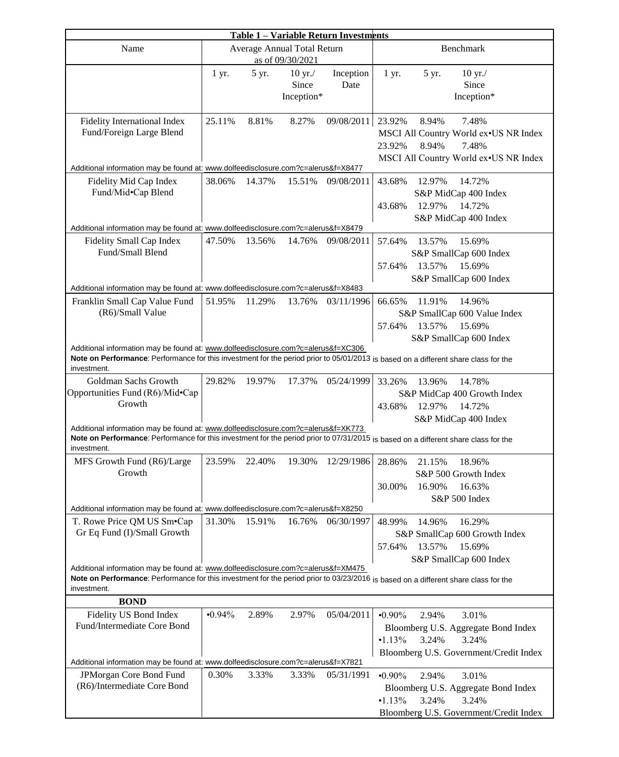| Table 1 - Variable Return Investments                                                                                               |        |        |                                                 |            |                                                                                                                                     |  |
|-------------------------------------------------------------------------------------------------------------------------------------|--------|--------|-------------------------------------------------|------------|-------------------------------------------------------------------------------------------------------------------------------------|--|
| Name                                                                                                                                |        |        | Average Annual Total Return<br>as of 09/30/2021 |            | Benchmark                                                                                                                           |  |
|                                                                                                                                     | 1 yr.  | 5 yr.  | $10 \text{ yr}$ ./                              | Inception  | $1 \, yr.$<br>5 yr.<br>$10 \text{ yr}$ ./                                                                                           |  |
|                                                                                                                                     |        |        | Since                                           | Date       | Since                                                                                                                               |  |
|                                                                                                                                     |        |        | Inception*                                      |            | Inception*                                                                                                                          |  |
| <b>Fidelity International Index</b>                                                                                                 | 25.11% | 8.81%  | 8.27%                                           | 09/08/2011 | 23.92%<br>8.94%<br>7.48%                                                                                                            |  |
| Fund/Foreign Large Blend                                                                                                            |        |        |                                                 |            | MSCI All Country World ex•US NR Index                                                                                               |  |
|                                                                                                                                     |        |        |                                                 |            | 8.94%<br>7.48%<br>23.92%                                                                                                            |  |
| Additional information may be found at: www.dolfeedisclosure.com?c=alerus&f=X8477                                                   |        |        |                                                 |            | MSCI All Country World ex•US NR Index                                                                                               |  |
| Fidelity Mid Cap Index                                                                                                              | 38.06% | 14.37% | 15.51%                                          | 09/08/2011 | 43.68%<br>12.97%<br>14.72%                                                                                                          |  |
| Fund/Mid•Cap Blend                                                                                                                  |        |        |                                                 |            | S&P MidCap 400 Index                                                                                                                |  |
|                                                                                                                                     |        |        |                                                 |            | 12.97%<br>43.68%<br>14.72%                                                                                                          |  |
|                                                                                                                                     |        |        |                                                 |            | S&P MidCap 400 Index                                                                                                                |  |
| Additional information may be found at: www.dolfeedisclosure.com?c=alerus&f=X8479                                                   |        |        |                                                 |            |                                                                                                                                     |  |
| Fidelity Small Cap Index                                                                                                            | 47.50% | 13.56% | 14.76%                                          | 09/08/2011 | 57.64%<br>13.57%<br>15.69%                                                                                                          |  |
| Fund/Small Blend                                                                                                                    |        |        |                                                 |            | S&P SmallCap 600 Index                                                                                                              |  |
|                                                                                                                                     |        |        |                                                 |            | 13.57%<br>15.69%<br>57.64%                                                                                                          |  |
|                                                                                                                                     |        |        |                                                 |            | S&P SmallCap 600 Index                                                                                                              |  |
| Additional information may be found at: www.dolfeedisclosure.com?c=alerus&f=X8483                                                   |        |        |                                                 |            |                                                                                                                                     |  |
| Franklin Small Cap Value Fund                                                                                                       | 51.95% | 11.29% | 13.76%                                          | 03/11/1996 | 66.65%<br>11.91%<br>14.96%                                                                                                          |  |
| (R6)/Small Value                                                                                                                    |        |        |                                                 |            | S&P SmallCap 600 Value Index                                                                                                        |  |
|                                                                                                                                     |        |        |                                                 |            | 13.57%<br>15.69%<br>57.64%                                                                                                          |  |
|                                                                                                                                     |        |        |                                                 |            | S&P SmallCap 600 Index                                                                                                              |  |
| Additional information may be found at: www.dolfeedisclosure.com?c=alerus&f=XC306                                                   |        |        |                                                 |            | Note on Performance: Performance for this investment for the period prior to 05/01/2013 is based on a different share class for the |  |
| investment.                                                                                                                         |        |        |                                                 |            |                                                                                                                                     |  |
| Goldman Sachs Growth                                                                                                                | 29.82% | 19.97% | 17.37%                                          | 05/24/1999 | 33.26%<br>13.96%<br>14.78%                                                                                                          |  |
| Opportunities Fund (R6)/Mid•Cap                                                                                                     |        |        |                                                 |            | S&P MidCap 400 Growth Index                                                                                                         |  |
| Growth                                                                                                                              |        |        |                                                 |            | 43.68%<br>12.97%<br>14.72%                                                                                                          |  |
|                                                                                                                                     |        |        |                                                 |            | S&P MidCap 400 Index                                                                                                                |  |
| Additional information may be found at: www.dolfeedisclosure.com?c=alerus&f=XK773                                                   |        |        |                                                 |            |                                                                                                                                     |  |
|                                                                                                                                     |        |        |                                                 |            | Note on Performance: Performance for this investment for the period prior to 07/31/2015 is based on a different share class for the |  |
| investment.                                                                                                                         |        |        |                                                 |            |                                                                                                                                     |  |
| MFS Growth Fund (R6)/Large<br>Growth                                                                                                | 23.59% | 22.40% | 19.30%                                          | 12/29/1986 | 28.86%<br>21.15%<br>18.96%                                                                                                          |  |
|                                                                                                                                     |        |        |                                                 |            | S&P 500 Growth Index                                                                                                                |  |
|                                                                                                                                     |        |        |                                                 |            | 16.90%<br>16.63%<br>30.00%                                                                                                          |  |
| Additional information may be found at: www.dolfeedisclosure.com?c=alerus&f=X8250                                                   |        |        |                                                 |            | S&P 500 Index                                                                                                                       |  |
| T. Rowe Price QM US Sm•Cap                                                                                                          | 31.30% | 15.91% | 16.76%                                          | 06/30/1997 | 16.29%<br>48.99%<br>14.96%                                                                                                          |  |
| Gr Eq Fund (I)/Small Growth                                                                                                         |        |        |                                                 |            | S&P SmallCap 600 Growth Index                                                                                                       |  |
|                                                                                                                                     |        |        |                                                 |            | 13.57%<br>57.64%<br>15.69%                                                                                                          |  |
|                                                                                                                                     |        |        |                                                 |            | S&P SmallCap 600 Index                                                                                                              |  |
| Additional information may be found at: www.dolfeedisclosure.com?c=alerus&f=XM475                                                   |        |        |                                                 |            |                                                                                                                                     |  |
| Note on Performance: Performance for this investment for the period prior to 03/23/2016 is based on a different share class for the |        |        |                                                 |            |                                                                                                                                     |  |
| investment.                                                                                                                         |        |        |                                                 |            |                                                                                                                                     |  |
| <b>BOND</b>                                                                                                                         |        |        |                                                 |            |                                                                                                                                     |  |
| Fidelity US Bond Index                                                                                                              | •0.94% | 2.89%  | 2.97%                                           | 05/04/2011 | $-0.90\%$<br>2.94%<br>3.01%                                                                                                         |  |
| Fund/Intermediate Core Bond                                                                                                         |        |        |                                                 |            | Bloomberg U.S. Aggregate Bond Index                                                                                                 |  |
|                                                                                                                                     |        |        |                                                 |            | •1.13%<br>3.24%<br>3.24%                                                                                                            |  |
|                                                                                                                                     |        |        |                                                 |            | Bloomberg U.S. Government/Credit Index                                                                                              |  |
| Additional information may be found at: www.dolfeedisclosure.com?c=alerus&f=X7821                                                   |        |        |                                                 |            |                                                                                                                                     |  |
| JPMorgan Core Bond Fund<br>(R6)/Intermediate Core Bond                                                                              | 0.30%  | 3.33%  | 3.33%                                           | 05/31/1991 | $-0.90\%$<br>2.94%<br>3.01%                                                                                                         |  |
|                                                                                                                                     |        |        |                                                 |            | Bloomberg U.S. Aggregate Bond Index                                                                                                 |  |
|                                                                                                                                     |        |        |                                                 |            | •1.13%<br>3.24%<br>3.24%                                                                                                            |  |
|                                                                                                                                     |        |        |                                                 |            | Bloomberg U.S. Government/Credit Index                                                                                              |  |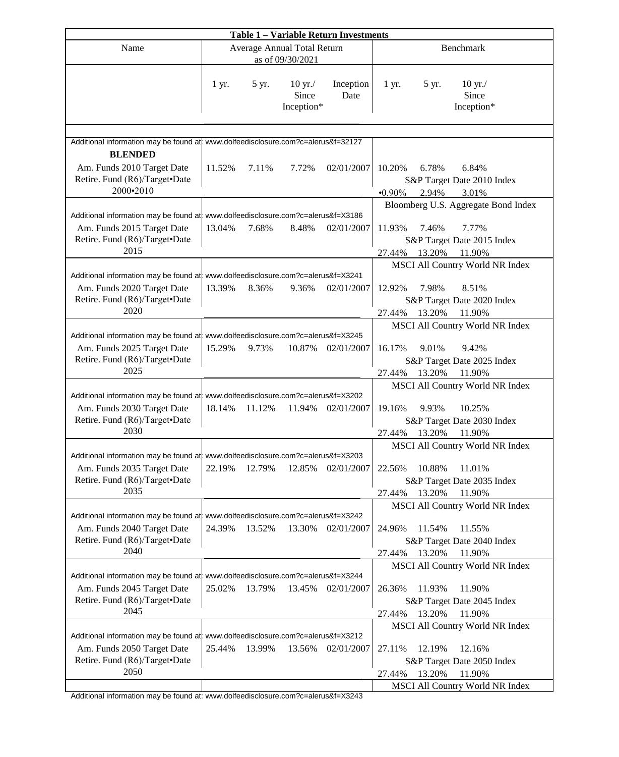| <b>Table 1 - Variable Return Investments</b>                                                                                                            |            |               |                                                 |                   |                                                                                                                                                              |  |
|---------------------------------------------------------------------------------------------------------------------------------------------------------|------------|---------------|-------------------------------------------------|-------------------|--------------------------------------------------------------------------------------------------------------------------------------------------------------|--|
| Name                                                                                                                                                    |            |               | Average Annual Total Return<br>as of 09/30/2021 |                   | Benchmark                                                                                                                                                    |  |
|                                                                                                                                                         | $1 \, yr.$ | 5 yr.         | $10 \text{ yr}$ ./<br>Since<br>Inception*       | Inception<br>Date | $10 \text{ yr}$ ./<br>$1 \, yr.$<br>5 yr.<br>Since<br>Inception*                                                                                             |  |
| Additional information may be found at www.dolfeedisclosure.com?c=alerus&f=32127                                                                        |            |               |                                                 |                   |                                                                                                                                                              |  |
| <b>BLENDED</b><br>Am. Funds 2010 Target Date<br>Retire. Fund (R6)/Target•Date<br>2000-2010                                                              | 11.52%     | 7.11%         | 7.72%                                           | 02/01/2007        | 6.84%<br>10.20%<br>6.78%<br>S&P Target Date 2010 Index<br>$-0.90\%$<br>2.94%<br>3.01%                                                                        |  |
|                                                                                                                                                         |            |               |                                                 |                   | Bloomberg U.S. Aggregate Bond Index                                                                                                                          |  |
| Additional information may be found at www.dolfeedisclosure.com?c=alerus&f=X3186<br>Am. Funds 2015 Target Date<br>Retire. Fund (R6)/Target•Date<br>2015 | 13.04%     | 7.68%         | 8.48%                                           | 02/01/2007        | 11.93%<br>7.77%<br>7.46%<br>S&P Target Date 2015 Index<br>13.20%<br>27.44%<br>11.90%                                                                         |  |
| Additional information may be found at www.dolfeedisclosure.com?c=alerus&f=X3241                                                                        |            |               |                                                 |                   | MSCI All Country World NR Index                                                                                                                              |  |
| Am. Funds 2020 Target Date<br>Retire. Fund (R6)/Target•Date<br>2020                                                                                     | 13.39%     | 8.36%         | 9.36%                                           | 02/01/2007        | 12.92%<br>7.98%<br>8.51%<br>S&P Target Date 2020 Index<br>13.20%<br>11.90%<br>27.44%                                                                         |  |
|                                                                                                                                                         |            |               |                                                 |                   | MSCI All Country World NR Index                                                                                                                              |  |
| Additional information may be found at www.dolfeedisclosure.com?c=alerus&f=X3245<br>Am. Funds 2025 Target Date<br>Retire. Fund (R6)/Target•Date<br>2025 | 15.29%     | 9.73%         | 10.87%                                          | 02/01/2007        | 9.01%<br>9.42%<br>16.17%<br>S&P Target Date 2025 Index<br>27.44%<br>13.20%<br>11.90%                                                                         |  |
|                                                                                                                                                         |            |               |                                                 |                   | MSCI All Country World NR Index                                                                                                                              |  |
| Additional information may be found at www.dolfeedisclosure.com?c=alerus&f=X3202<br>Am. Funds 2030 Target Date<br>Retire. Fund (R6)/Target•Date<br>2030 | 18.14%     | 11.12%        | 11.94%                                          | 02/01/2007        | 19.16%<br>9.93%<br>10.25%<br>S&P Target Date 2030 Index<br>13.20%<br>27.44%<br>11.90%                                                                        |  |
|                                                                                                                                                         |            |               |                                                 |                   | MSCI All Country World NR Index                                                                                                                              |  |
| Additional information may be found at www.dolfeedisclosure.com?c=alerus&f=X3203<br>Am. Funds 2035 Target Date<br>Retire. Fund (R6)/Target•Date<br>2035 |            | 22.19% 12.79% |                                                 | 12.85% 02/01/2007 | 10.88%<br>22.56%<br>11.01%<br>S&P Target Date 2035 Index<br>13.20%<br>27.44%<br>11.90%                                                                       |  |
|                                                                                                                                                         |            |               |                                                 |                   | MSCI All Country World NR Index                                                                                                                              |  |
| Additional information may be found at www.dolfeedisclosure.com?c=alerus&f=X3242<br>Am. Funds 2040 Target Date<br>Retire. Fund (R6)/Target•Date<br>2040 | 24.39%     | 13.52%        | 13.30%                                          | 02/01/2007        | 24.96%<br>11.54%<br>11.55%<br>S&P Target Date 2040 Index<br>13.20%<br>11.90%<br>27.44%                                                                       |  |
| Additional information may be found at www.dolfeedisclosure.com?c=alerus&f=X3244<br>Am. Funds 2045 Target Date<br>Retire. Fund (R6)/Target•Date<br>2045 | 25.02%     | 13.79%        | 13.45%                                          | 02/01/2007        | MSCI All Country World NR Index<br>11.90%<br>26.36%<br>11.93%<br>S&P Target Date 2045 Index<br>13.20%<br>27.44%<br>11.90%                                    |  |
| Additional information may be found at www.dolfeedisclosure.com?c=alerus&f=X3212<br>Am. Funds 2050 Target Date<br>Retire. Fund (R6)/Target•Date<br>2050 | 25.44%     | 13.99%        | 13.56%                                          | 02/01/2007        | MSCI All Country World NR Index<br>27.11%<br>12.19%<br>12.16%<br>S&P Target Date 2050 Index<br>13.20%<br>11.90%<br>27.44%<br>MSCI All Country World NR Index |  |

Additional information may be found at: [www.dolfeedisclosure.com?c=alerus&f=X3243](http://www.dolfeedisclosure.com/?c=alerus&f=X3243)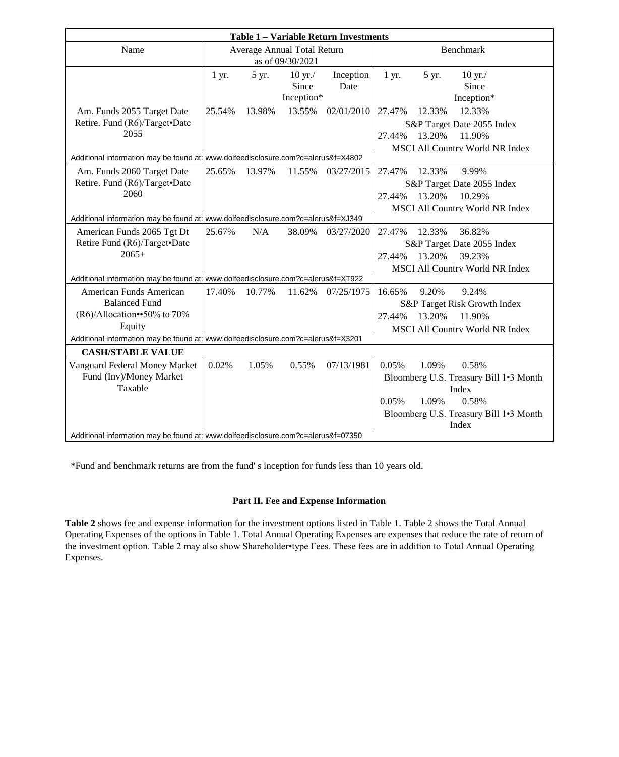| <b>Table 1 - Variable Return Investments</b>                                      |                             |        |                       |            |                                        |  |
|-----------------------------------------------------------------------------------|-----------------------------|--------|-----------------------|------------|----------------------------------------|--|
| Name                                                                              | Average Annual Total Return |        |                       |            | <b>Benchmark</b>                       |  |
|                                                                                   | as of 09/30/2021            |        |                       |            |                                        |  |
|                                                                                   | 1 yr.                       | 5 yr.  | $10 \,\mathrm{yr}$ ./ | Inception  | 5 yr.<br>1 yr.<br>$10 \text{ yr}$ ./   |  |
|                                                                                   |                             |        | Since                 | Date       | Since                                  |  |
|                                                                                   |                             |        | Inception*            |            | Inception*                             |  |
| Am. Funds 2055 Target Date                                                        | 25.54%                      | 13.98% | 13.55%                | 02/01/2010 | 12.33%<br>12.33%<br>27.47%             |  |
| Retire. Fund (R6)/Target•Date                                                     |                             |        |                       |            | S&P Target Date 2055 Index             |  |
| 2055                                                                              |                             |        |                       |            | 13.20%<br>11.90%<br>27.44%             |  |
|                                                                                   |                             |        |                       |            | <b>MSCI All Country World NR Index</b> |  |
| Additional information may be found at: www.dolfeedisclosure.com?c=alerus&f=X4802 |                             |        |                       |            |                                        |  |
| Am. Funds 2060 Target Date                                                        | 25.65%                      | 13.97% | 11.55%                | 03/27/2015 | 27.47%<br>9.99%<br>12.33%              |  |
| Retire. Fund (R6)/Target•Date                                                     |                             |        |                       |            | S&P Target Date 2055 Index             |  |
| 2060                                                                              |                             |        |                       |            | 13.20%<br>10.29%<br>27.44%             |  |
|                                                                                   |                             |        |                       |            | <b>MSCI All Country World NR Index</b> |  |
| Additional information may be found at: www.dolfeedisclosure.com?c=alerus&f=XJ349 |                             |        |                       |            |                                        |  |
| American Funds 2065 Tgt Dt                                                        | 25.67%                      | N/A    | 38.09%                | 03/27/2020 | 27.47%<br>12.33%<br>36.82%             |  |
| Retire Fund (R6)/Target•Date                                                      |                             |        |                       |            | S&P Target Date 2055 Index             |  |
| $2065+$                                                                           |                             |        |                       |            | 13.20%<br>39.23%<br>27.44%             |  |
|                                                                                   |                             |        |                       |            | <b>MSCI All Country World NR Index</b> |  |
| Additional information may be found at: www.dolfeedisclosure.com?c=alerus&f=XT922 |                             |        |                       |            |                                        |  |
| American Funds American                                                           | 17.40%                      | 10.77% | 11.62%                | 07/25/1975 | 16.65%<br>9.20%<br>9.24%               |  |
| <b>Balanced Fund</b>                                                              |                             |        |                       |            | S&P Target Risk Growth Index           |  |
| (R6)/Allocation••50% to 70%                                                       |                             |        |                       |            | 13.20%<br>11.90%<br>27.44%             |  |
| Equity                                                                            |                             |        |                       |            | <b>MSCI All Country World NR Index</b> |  |
| Additional information may be found at: www.dolfeedisclosure.com?c=alerus&f=X3201 |                             |        |                       |            |                                        |  |
| <b>CASH/STABLE VALUE</b>                                                          |                             |        |                       |            |                                        |  |
| Vanguard Federal Money Market                                                     | 0.02%                       | 1.05%  | 0.55%                 | 07/13/1981 | 0.05%<br>1.09%<br>0.58%                |  |
| Fund (Inv)/Money Market                                                           |                             |        |                       |            | Bloomberg U.S. Treasury Bill 1.3 Month |  |
| Taxable                                                                           |                             |        |                       |            | Index                                  |  |
|                                                                                   |                             |        |                       |            | 0.05%<br>1.09%<br>0.58%                |  |
|                                                                                   |                             |        |                       |            | Bloomberg U.S. Treasury Bill 1.3 Month |  |
|                                                                                   |                             |        |                       |            | Index                                  |  |
| Additional information may be found at: www.dolfeedisclosure.com?c=alerus&f=07350 |                             |        |                       |            |                                        |  |

\*Fund and benchmark returns are from the fund' s inception for funds less than 10 years old.

### **Part II. Fee and Expense Information**

**Table 2** shows fee and expense information for the investment options listed in Table 1. Table 2 shows the Total Annual Operating Expenses of the options in Table 1. Total Annual Operating Expenses are expenses that reduce the rate of return of the investment option. Table 2 may also show Shareholder•type Fees. These fees are in addition to Total Annual Operating Expenses.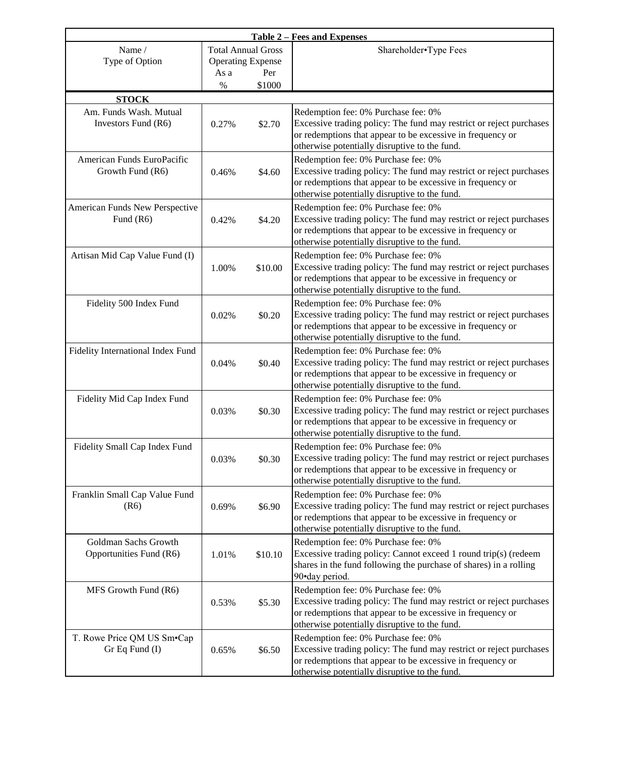| <b>Table 2 – Fees and Expenses</b>              |                                                                                        |         |                                                                                                                                                                                                                           |  |
|-------------------------------------------------|----------------------------------------------------------------------------------------|---------|---------------------------------------------------------------------------------------------------------------------------------------------------------------------------------------------------------------------------|--|
| Name /<br>Type of Option                        | <b>Total Annual Gross</b><br><b>Operating Expense</b><br>As a<br>Per<br>$\%$<br>\$1000 |         | Shareholder•Type Fees                                                                                                                                                                                                     |  |
| <b>STOCK</b>                                    |                                                                                        |         |                                                                                                                                                                                                                           |  |
| Am. Funds Wash. Mutual<br>Investors Fund (R6)   | 0.27%                                                                                  | \$2.70  | Redemption fee: 0% Purchase fee: 0%<br>Excessive trading policy: The fund may restrict or reject purchases<br>or redemptions that appear to be excessive in frequency or<br>otherwise potentially disruptive to the fund. |  |
| American Funds EuroPacific<br>Growth Fund (R6)  | 0.46%                                                                                  | \$4.60  | Redemption fee: 0% Purchase fee: 0%<br>Excessive trading policy: The fund may restrict or reject purchases<br>or redemptions that appear to be excessive in frequency or<br>otherwise potentially disruptive to the fund. |  |
| American Funds New Perspective<br>Fund $(R6)$   | 0.42%                                                                                  | \$4.20  | Redemption fee: 0% Purchase fee: 0%<br>Excessive trading policy: The fund may restrict or reject purchases<br>or redemptions that appear to be excessive in frequency or<br>otherwise potentially disruptive to the fund. |  |
| Artisan Mid Cap Value Fund (I)                  | 1.00%                                                                                  | \$10.00 | Redemption fee: 0% Purchase fee: 0%<br>Excessive trading policy: The fund may restrict or reject purchases<br>or redemptions that appear to be excessive in frequency or<br>otherwise potentially disruptive to the fund. |  |
| Fidelity 500 Index Fund                         | 0.02%                                                                                  | \$0.20  | Redemption fee: 0% Purchase fee: 0%<br>Excessive trading policy: The fund may restrict or reject purchases<br>or redemptions that appear to be excessive in frequency or<br>otherwise potentially disruptive to the fund. |  |
| Fidelity International Index Fund               | 0.04%                                                                                  | \$0.40  | Redemption fee: 0% Purchase fee: 0%<br>Excessive trading policy: The fund may restrict or reject purchases<br>or redemptions that appear to be excessive in frequency or<br>otherwise potentially disruptive to the fund. |  |
| Fidelity Mid Cap Index Fund                     | 0.03%                                                                                  | \$0.30  | Redemption fee: 0% Purchase fee: 0%<br>Excessive trading policy: The fund may restrict or reject purchases<br>or redemptions that appear to be excessive in frequency or<br>otherwise potentially disruptive to the fund. |  |
| Fidelity Small Cap Index Fund                   | 0.03%                                                                                  | \$0.30  | Redemption fee: 0% Purchase fee: 0%<br>Excessive trading policy: The fund may restrict or reject purchases<br>or redemptions that appear to be excessive in frequency or<br>otherwise potentially disruptive to the fund. |  |
| Franklin Small Cap Value Fund<br>(R6)           | 0.69%                                                                                  | \$6.90  | Redemption fee: 0% Purchase fee: 0%<br>Excessive trading policy: The fund may restrict or reject purchases<br>or redemptions that appear to be excessive in frequency or<br>otherwise potentially disruptive to the fund. |  |
| Goldman Sachs Growth<br>Opportunities Fund (R6) | 1.01%                                                                                  | \$10.10 | Redemption fee: 0% Purchase fee: 0%<br>Excessive trading policy: Cannot exceed 1 round trip(s) (redeem<br>shares in the fund following the purchase of shares) in a rolling<br>90•day period.                             |  |
| MFS Growth Fund (R6)                            | 0.53%                                                                                  | \$5.30  | Redemption fee: 0% Purchase fee: 0%<br>Excessive trading policy: The fund may restrict or reject purchases<br>or redemptions that appear to be excessive in frequency or<br>otherwise potentially disruptive to the fund. |  |
| T. Rowe Price QM US Sm.Cap<br>Gr Eq Fund (I)    | 0.65%                                                                                  | \$6.50  | Redemption fee: 0% Purchase fee: 0%<br>Excessive trading policy: The fund may restrict or reject purchases<br>or redemptions that appear to be excessive in frequency or<br>otherwise potentially disruptive to the fund. |  |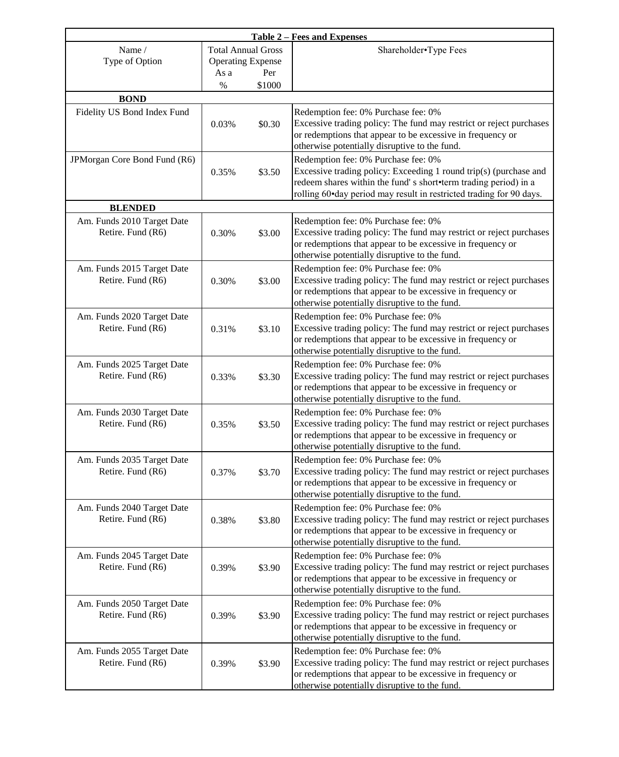| <b>Table 2 – Fees and Expenses</b>              |                                                                                        |        |                                                                                                                                                                                                                                                    |  |  |
|-------------------------------------------------|----------------------------------------------------------------------------------------|--------|----------------------------------------------------------------------------------------------------------------------------------------------------------------------------------------------------------------------------------------------------|--|--|
| Name /<br>Type of Option                        | <b>Total Annual Gross</b><br><b>Operating Expense</b><br>As a<br>Per<br>$\%$<br>\$1000 |        | Shareholder•Type Fees                                                                                                                                                                                                                              |  |  |
| <b>BOND</b>                                     |                                                                                        |        |                                                                                                                                                                                                                                                    |  |  |
| Fidelity US Bond Index Fund                     | 0.03%                                                                                  | \$0.30 | Redemption fee: 0% Purchase fee: 0%<br>Excessive trading policy: The fund may restrict or reject purchases<br>or redemptions that appear to be excessive in frequency or<br>otherwise potentially disruptive to the fund.                          |  |  |
| JPMorgan Core Bond Fund (R6)                    | 0.35%                                                                                  | \$3.50 | Redemption fee: 0% Purchase fee: 0%<br>Excessive trading policy: Exceeding 1 round trip(s) (purchase and<br>redeem shares within the fund's short•term trading period) in a<br>rolling 60•day period may result in restricted trading for 90 days. |  |  |
| <b>BLENDED</b>                                  |                                                                                        |        |                                                                                                                                                                                                                                                    |  |  |
| Am. Funds 2010 Target Date<br>Retire. Fund (R6) | 0.30%                                                                                  | \$3.00 | Redemption fee: 0% Purchase fee: 0%<br>Excessive trading policy: The fund may restrict or reject purchases<br>or redemptions that appear to be excessive in frequency or<br>otherwise potentially disruptive to the fund.                          |  |  |
| Am. Funds 2015 Target Date<br>Retire. Fund (R6) | 0.30%                                                                                  | \$3.00 | Redemption fee: 0% Purchase fee: 0%<br>Excessive trading policy: The fund may restrict or reject purchases<br>or redemptions that appear to be excessive in frequency or<br>otherwise potentially disruptive to the fund.                          |  |  |
| Am. Funds 2020 Target Date<br>Retire. Fund (R6) | 0.31%                                                                                  | \$3.10 | Redemption fee: 0% Purchase fee: 0%<br>Excessive trading policy: The fund may restrict or reject purchases<br>or redemptions that appear to be excessive in frequency or<br>otherwise potentially disruptive to the fund.                          |  |  |
| Am. Funds 2025 Target Date<br>Retire. Fund (R6) | 0.33%                                                                                  | \$3.30 | Redemption fee: 0% Purchase fee: 0%<br>Excessive trading policy: The fund may restrict or reject purchases<br>or redemptions that appear to be excessive in frequency or<br>otherwise potentially disruptive to the fund.                          |  |  |
| Am. Funds 2030 Target Date<br>Retire. Fund (R6) | 0.35%                                                                                  | \$3.50 | Redemption fee: 0% Purchase fee: 0%<br>Excessive trading policy: The fund may restrict or reject purchases<br>or redemptions that appear to be excessive in frequency or<br>otherwise potentially disruptive to the fund.                          |  |  |
| Am. Funds 2035 Target Date<br>Retire. Fund (R6) | 0.37%                                                                                  | \$3.70 | Redemption fee: 0% Purchase fee: 0%<br>Excessive trading policy: The fund may restrict or reject purchases<br>or redemptions that appear to be excessive in frequency or<br>otherwise potentially disruptive to the fund.                          |  |  |
| Am. Funds 2040 Target Date<br>Retire. Fund (R6) | 0.38%                                                                                  | \$3.80 | Redemption fee: 0% Purchase fee: 0%<br>Excessive trading policy: The fund may restrict or reject purchases<br>or redemptions that appear to be excessive in frequency or<br>otherwise potentially disruptive to the fund.                          |  |  |
| Am. Funds 2045 Target Date<br>Retire. Fund (R6) | 0.39%                                                                                  | \$3.90 | Redemption fee: 0% Purchase fee: 0%<br>Excessive trading policy: The fund may restrict or reject purchases<br>or redemptions that appear to be excessive in frequency or<br>otherwise potentially disruptive to the fund.                          |  |  |
| Am. Funds 2050 Target Date<br>Retire. Fund (R6) | 0.39%                                                                                  | \$3.90 | Redemption fee: 0% Purchase fee: 0%<br>Excessive trading policy: The fund may restrict or reject purchases<br>or redemptions that appear to be excessive in frequency or<br>otherwise potentially disruptive to the fund.                          |  |  |
| Am. Funds 2055 Target Date<br>Retire. Fund (R6) | 0.39%                                                                                  | \$3.90 | Redemption fee: 0% Purchase fee: 0%<br>Excessive trading policy: The fund may restrict or reject purchases<br>or redemptions that appear to be excessive in frequency or<br>otherwise potentially disruptive to the fund.                          |  |  |